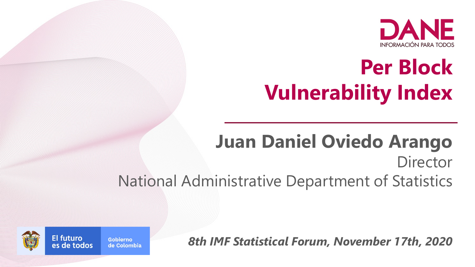

# **Per Block Vulnerability Index**

**Juan Daniel Oviedo Arango Director** National Administrative Department of Statistics

*8th IMF Statistical Forum, November 17th, 2020*

Gobierno es de todos de Colombia



**El futuro**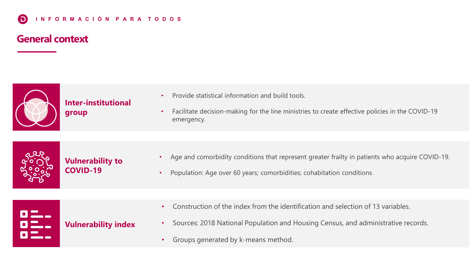### **General context**



**Inter-institutional group**

- Provide statistical information and build tools.
- Facilitate decision-making for the line ministries to create effective policies in the COVID-19 emergency.



- Age and comorbidity conditions that represent greater frailty in patients who acquire COVID-19.
- Population: Age over 60 years; comorbidities; cohabitation conditions

|--|

- Construction of the index from the identification and selection of 13 variables.
- Sources: 2018 National Population and Housing Census, and administrative records.
- Groups generated by k-means method.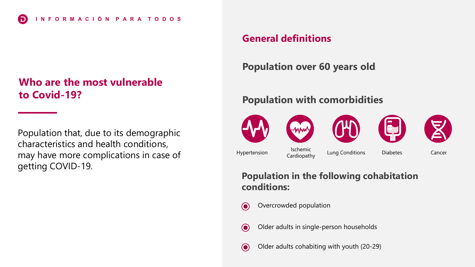### **Who are the most vulnerable to Covid-19?**

Population that, due to its demographic characteristics and health conditions, may have more complications in case of getting COVID-19.

### **General definitions**

### **Population over 60 years old**

### **Population with comorbidities**



### **Population in the following cohabitation conditions:**

- $\odot$ Overcrowded population
- $\odot$ Older adults in single-person households
- Older adults cohabiting with youth (20-29)  $\odot$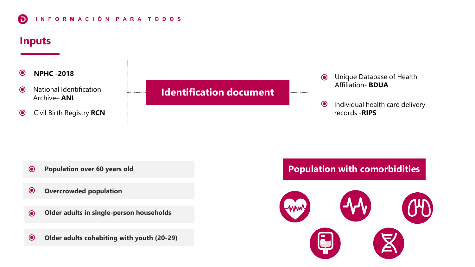### **I N F O R M A C I Ó N P A R A T O D O S** 6

### **Inputs**



- **Population over 60 years old**  $\odot$
- **Overcrowded population**  $\odot$
- **Older adults in single-person households**  $\odot$
- **Older adults cohabiting with youth (20-29)**  $\odot$

### **Population with comorbidities**

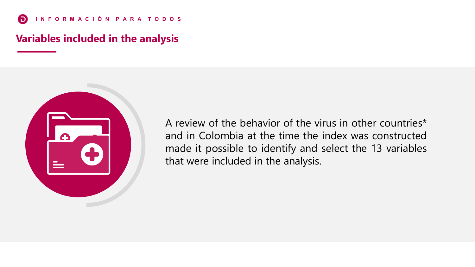### **Variables included in the analysis**



A review of the behavior of the virus in other countries\* and in Colombia at the time the index was constructed made it possible to identify and select the 13 variables that were included in the analysis.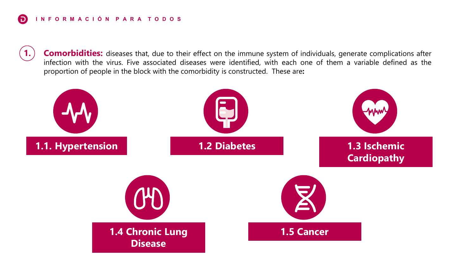**Comorbidities:** diseases that, due to their effect on the immune system of individuals, generate complications after infection with the virus. Five associated diseases were identified, with each one of them a variable defined as the proportion of people in the block with the comorbidity is constructed. These are**:**

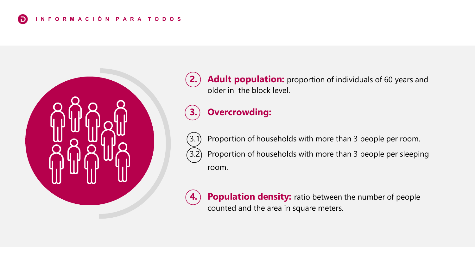

**2.)** Adult **population:** proportion of individuals of 60 years and older in the block level.

## **3. Overcrowding:**

Proportion of households with more than 3 people per room. 3.2 Proportion of households with more than 3 people per sleeping room.

**Population density:** ratio between the number of people counted and the area in square meters.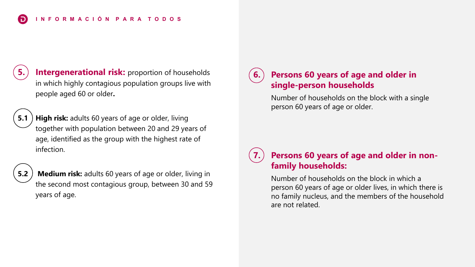**Intergenerational risk:** proportion of households in which highly contagious population groups live with people aged 60 or older**.**

**5.1** High risk: adults 60 years of age or older, living together with population between 20 and 29 years of age, identified as the group with the highest rate of infection.

**5.2 Medium risk:** adults 60 years of age or older, living in the second most contagious group, between 30 and 59 years of age.

### **6. Persons 60 years of age and older in single-person households**

Number of households on the block with a single person 60 years of age or older.

### **7. Persons 60 years of age and older in nonfamily households:**

Number of households on the block in which a person 60 years of age or older lives, in which there is no family nucleus, and the members of the household are not related.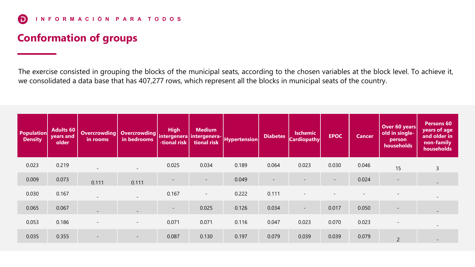## **Conformation of groups**

The exercise consisted in grouping the blocks of the municipal seats, according to the chosen variables at the block level. To achieve it, we consolidated a data base that has 407,277 rows, which represent all the blocks in municipal seats of the country.

| <b>Population</b><br><b>Density</b> | <b>Adults 60</b><br>years and<br>older | <b>Overcrowding</b><br>in rooms | Overcrowding intergenera<br>in bedrooms | <b>High</b><br>-tional risk | <b>Medium</b><br>intergenera-<br>tional risk | <b>Hypertension</b> | <b>Diabetes</b> | <b>Ischemic</b><br><b>Cardiopathy</b> | <b>EPOC</b>                  | <b>Cancer</b> | Over 60 years<br>old in single-<br>person<br>households | Persons 60<br>years of age<br>and older in<br>non-family<br>households |
|-------------------------------------|----------------------------------------|---------------------------------|-----------------------------------------|-----------------------------|----------------------------------------------|---------------------|-----------------|---------------------------------------|------------------------------|---------------|---------------------------------------------------------|------------------------------------------------------------------------|
| 0.023                               | 0.219                                  |                                 | $\overline{\phantom{0}}$                | 0.025                       | 0.034                                        | 0.189               | 0.064           | 0.023                                 | 0.030                        | 0.046         | 15                                                      | 3                                                                      |
| 0.009                               | 0.073                                  | 0.111                           | 0.111                                   |                             | $\overline{\phantom{a}}$                     | 0.049               |                 |                                       | $\qquad \qquad \blacksquare$ | 0.024         | $\overline{\phantom{m}}$                                | $\sim$                                                                 |
| 0.030                               | 0.167                                  |                                 |                                         | 0.167                       | $\overline{\phantom{a}}$                     | 0.222               | 0.111           |                                       |                              |               |                                                         |                                                                        |
| 0.065                               | 0.067                                  |                                 |                                         | $\qquad \qquad -$           | 0.025                                        | 0.126               | 0.034           | $\overline{\phantom{a}}$              | 0.017                        | 0.050         | $\overline{\phantom{a}}$                                | $\overline{\phantom{a}}$                                               |
| 0.053                               | 0.186                                  |                                 | $\overline{\phantom{a}}$                | 0.071                       | 0.071                                        | 0.116               | 0.047           | 0.023                                 | 0.070                        | 0.023         | $\overline{\phantom{a}}$                                |                                                                        |
| 0.035                               | 0.355                                  | $\overline{\phantom{a}}$        | $\overline{\phantom{a}}$                | 0.087                       | 0.130                                        | 0.197               | 0.079           | 0.039                                 | 0.039                        | 0.079         | $\overline{2}$                                          |                                                                        |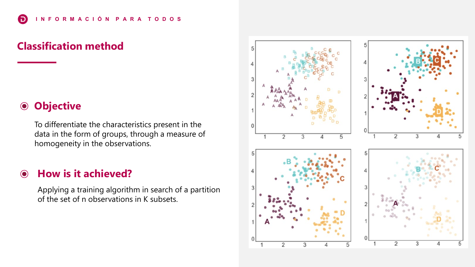### **Classification method**

### **Objective**  $\bigcirc$

To differentiate the characteristics present in the data in the form of groups, through a measure of homogeneity in the observations.

### **How is it achieved?**  $\odot$

Applying a training algorithm in search of a partition of the set of n observations in K subsets.

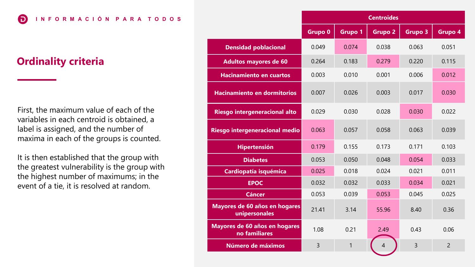**I N F O R M A C I Ó N P A R A T O D O S Centroides**

### **Ordinality criteria**

6

First, the maximum value of each of the variables in each centroid is obtained, a label is assigned, and the number of maxima in each of the groups is counted.

It is then established that the group with the greatest vulnerability is the group with the highest number of maximums; in the event of a tie, it is resolved at random.

|                                                | <b>Centroides</b>  |                |                |                |                |  |  |  |  |
|------------------------------------------------|--------------------|----------------|----------------|----------------|----------------|--|--|--|--|
|                                                | Grupo <sub>0</sub> | <b>Grupo 1</b> | <b>Grupo 2</b> | <b>Grupo 3</b> | Grupo 4        |  |  |  |  |
| <b>Densidad poblacional</b>                    | 0.049              | 0.074          | 0.038          | 0.063          | 0.051          |  |  |  |  |
| <b>Adultos mayores de 60</b>                   | 0.264              | 0.183          | 0.279          | 0.220          | 0.115          |  |  |  |  |
| <b>Hacinamiento en cuartos</b>                 | 0.003              | 0.010          | 0.001          | 0.006          | 0.012          |  |  |  |  |
| <b>Hacinamiento en dormitorios</b>             | 0.007              | 0.026          | 0.003          | 0.017          | 0.030          |  |  |  |  |
| Riesgo intergeneracional alto                  | 0.029              | 0.030          | 0.028          | 0.030          | 0.022          |  |  |  |  |
| Riesgo intergeneracional medio                 | 0.063              | 0.057          | 0.058          | 0.063          | 0.039          |  |  |  |  |
| <b>Hipertensión</b>                            | 0.179              | 0.155          | 0.173          | 0.171          | 0.103          |  |  |  |  |
| <b>Diabetes</b>                                | 0.053              | 0.050          | 0.048          | 0.054          | 0.033          |  |  |  |  |
| Cardiopatía isquémica                          | 0.025              | 0.018          | 0.024          | 0.021          | 0.011          |  |  |  |  |
| <b>EPOC</b>                                    | 0.032              | 0.032          | 0.033          | 0.034          | 0.021          |  |  |  |  |
| <b>Cáncer</b>                                  | 0.053              | 0.039          | 0.053          | 0.045          | 0.025          |  |  |  |  |
| Mayores de 60 años en hogares<br>unipersonales | 21.41              | 3.14           | 55.96          | 8.40           | 0.36           |  |  |  |  |
| Mayores de 60 años en hogares<br>no familiares | 1.08               | 0.21           | 2.49           | 0.43           | 0.06           |  |  |  |  |
| Número de máximos                              | $\overline{3}$     | 1              | $\overline{A}$ | $\overline{3}$ | $\overline{2}$ |  |  |  |  |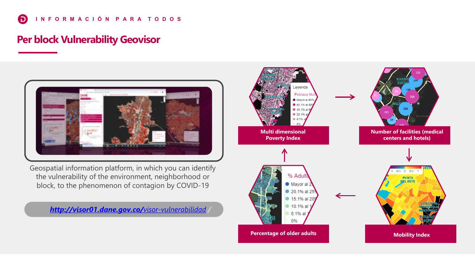### **Per block Vulnerability Geovisor**



Geospatial information platform, in which you can identify the vulnerability of the environment, neighborhood or block, to the phenomenon of contagion by COVID-19

*[http://visor01.dane.gov.co/](http://visor01.dane.gov.co/visor-vulnerabilidad)visor-vulnerabilidad /*

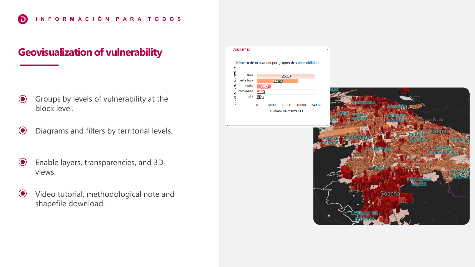### **Geovisualization of vulnerability**

- Groups by levels of vulnerability at the  $\odot$ block level.
- Diagrams and filters by territorial levels.  $\odot$
- $\odot$ Enable layers, transparencies, and 3D views.
- $\odot$ Video tutorial, methodological note and shapefile download.

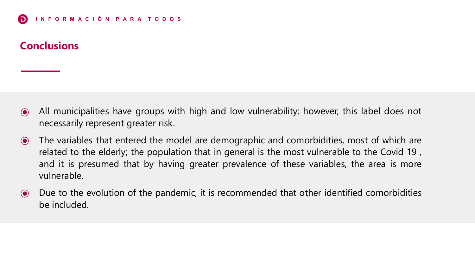### **Conclusions**

- $\odot$ All municipalities have groups with high and low vulnerability; however, this label does not necessarily represent greater risk.
- The variables that entered the model are demographic and comorbidities, most of which are  $\odot$ related to the elderly; the population that in general is the most vulnerable to the Covid 19 , and it is presumed that by having greater prevalence of these variables, the area is more vulnerable.
- Due to the evolution of the pandemic, it is recommended that other identified comorbidities  $\odot$ be included.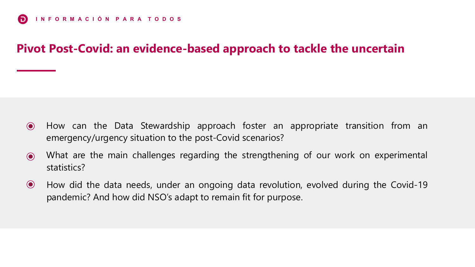## **Pivot Post-Covid: an evidence-based approach to tackle the uncertain**

- $\odot$ How can the Data Stewardship approach foster an appropriate transition from an emergency/urgency situation to the post-Covid scenarios?
- What are the main challenges regarding the strengthening of our work on experimental  $\odot$ statistics?
- $\bullet$ How did the data needs, under an ongoing data revolution, evolved during the Covid-19 pandemic? And how did NSO's adapt to remain fit for purpose.